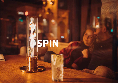# SPIN.

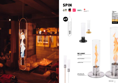

# SPIN **ERMAN**<br>AWARD<br>2021 V **ambiente<br>solutions** 2020 RRODUCT<br>OtsiGN<br>AMARIT re<mark>ddot</mark> design award<br><sub>winner</sub> 2019 NEW R

radiates heat

ŧ

T

indoor &outdoor

high flame 500 % BOOST

safe stand, safe fuel (bioethanol)





BOROSILICATE GLASS



.<br>Olished

PVD COATED

POWDER COATED